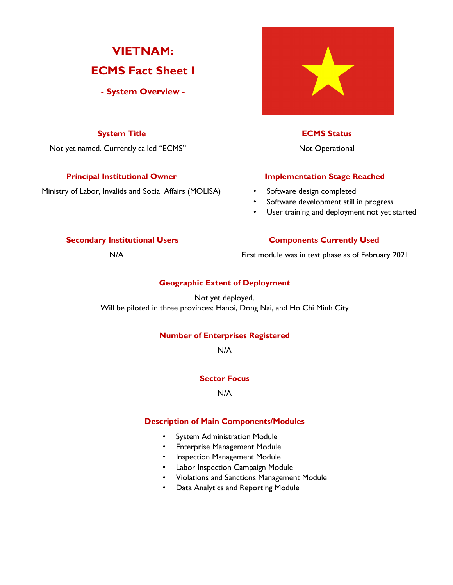# **VIETNAM: ECMS Fact Sheet I**

**- System Overview -**

Not yet named. Currently called "ECMS" Not Operational

Ministry of Labor, Invalids and Social Affairs (MOLISA) • Software design completed



# **System Title ECMS Status**

# **Principal Institutional Owner Stage Reached**

- 
- Software development still in progress
- User training and deployment not yet started

# **Secondary Institutional Users Components Currently Used**

N/A First module was in test phase as of February 2021

# **Geographic Extent of Deployment**

Not yet deployed. Will be piloted in three provinces: Hanoi, Dong Nai, and Ho Chi Minh City

# **Number of Enterprises Registered**

N/A

# **Sector Focus**

N/A

## **Description of Main Components/Modules**

- System Administration Module
- Enterprise Management Module
- Inspection Management Module
- Labor Inspection Campaign Module
- Violations and Sanctions Management Module
- Data Analytics and Reporting Module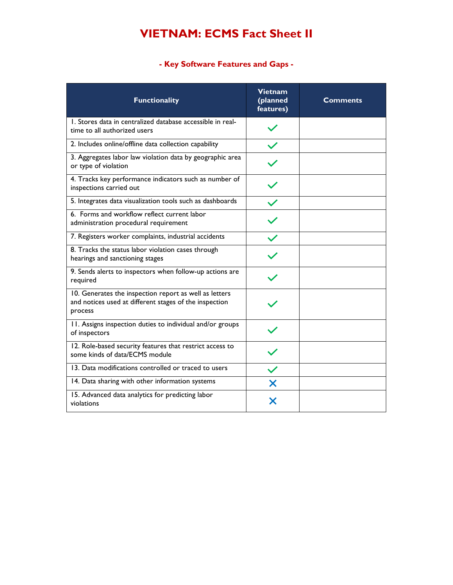# **VIETNAM: ECMS Fact Sheet II**

# **- Key Software Features and Gaps -**

| <b>Functionality</b>                                                                                                        | <b>Vietnam</b><br>(planned<br>features) | <b>Comments</b> |
|-----------------------------------------------------------------------------------------------------------------------------|-----------------------------------------|-----------------|
| 1. Stores data in centralized database accessible in real-<br>time to all authorized users                                  |                                         |                 |
| 2. Includes online/offline data collection capability                                                                       |                                         |                 |
| 3. Aggregates labor law violation data by geographic area<br>or type of violation                                           |                                         |                 |
| 4. Tracks key performance indicators such as number of<br>inspections carried out                                           |                                         |                 |
| 5. Integrates data visualization tools such as dashboards                                                                   |                                         |                 |
| 6. Forms and workflow reflect current labor<br>administration procedural requirement                                        |                                         |                 |
| 7. Registers worker complaints, industrial accidents                                                                        |                                         |                 |
| 8. Tracks the status labor violation cases through<br>hearings and sanctioning stages                                       |                                         |                 |
| 9. Sends alerts to inspectors when follow-up actions are<br>required                                                        |                                         |                 |
| 10. Generates the inspection report as well as letters<br>and notices used at different stages of the inspection<br>process |                                         |                 |
| 11. Assigns inspection duties to individual and/or groups<br>of inspectors                                                  |                                         |                 |
| 12. Role-based security features that restrict access to<br>some kinds of data/ECMS module                                  |                                         |                 |
| 13. Data modifications controlled or traced to users                                                                        |                                         |                 |
| 14. Data sharing with other information systems                                                                             | Х                                       |                 |
| 15. Advanced data analytics for predicting labor<br>violations                                                              |                                         |                 |